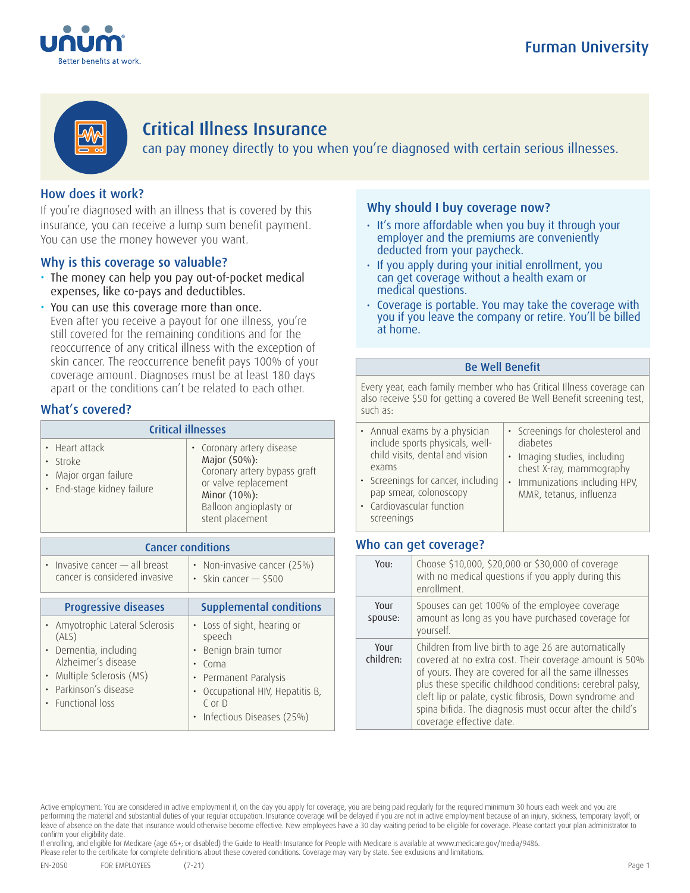



# Critical Illness Insurance

can pay money directly to you when you're diagnosed with certain serious illnesses.

# How does it work?

If you're diagnosed with an illness that is covered by this insurance, you can receive a lump sum benefit payment. You can use the money however you want.

# Why is this coverage so valuable?

- The money can help you pay out-of-pocket medical expenses, like co-pays and deductibles.
- You can use this coverage more than once. Even after you receive a payout for one illness, you're still covered for the remaining conditions and for the reoccurrence of any critical illness with the exception of skin cancer. The reoccurrence benefit pays 100% of your coverage amount. Diagnoses must be at least 180 days apart or the conditions can't be related to each other.

# What's covered?

| <b>Critical illnesses</b>                                                         |                                                                                                                                                                |  |  |
|-----------------------------------------------------------------------------------|----------------------------------------------------------------------------------------------------------------------------------------------------------------|--|--|
| • Heart attack<br>· Stroke<br>• Major organ failure<br>· End-stage kidney failure | • Coronary artery disease<br>Major (50%):<br>Coronary artery bypass graft<br>or valve replacement<br>Minor (10%):<br>Balloon angioplasty or<br>stent placement |  |  |

| <b>Cancer conditions</b>                                                                                                                                               |                                                                                                                                                                         |  |  |  |
|------------------------------------------------------------------------------------------------------------------------------------------------------------------------|-------------------------------------------------------------------------------------------------------------------------------------------------------------------------|--|--|--|
| $\cdot$ Invasive cancer $-$ all breast<br>cancer is considered invasive                                                                                                | • Non-invasive cancer (25%)<br>Skin cancer $-$ \$500<br>$\bullet$                                                                                                       |  |  |  |
| <b>Progressive diseases</b>                                                                                                                                            | <b>Supplemental conditions</b>                                                                                                                                          |  |  |  |
| • Amyotrophic Lateral Sclerosis<br>(ALS)<br>· Dementia, including<br>Alzheimer's disease<br>· Multiple Sclerosis (MS)<br>Parkinson's disease<br><b>Eunctional loss</b> | • Loss of sight, hearing or<br>speech<br>Benign brain tumor<br>Coma<br>Permanent Paralysis<br>Occupational HIV, Hepatitis B,<br>$C$ or $D$<br>Infectious Diseases (25%) |  |  |  |

# Why should I buy coverage now?

- It's more affordable when you buy it through your employer and the premiums are conveniently deducted from your paycheck.
- If you apply during your initial enrollment, you can get coverage without a health exam or medical questions.
- Coverage is portable. You may take the coverage with you if you leave the company or retire. You'll be billed at home.

### Be Well Benefit

Every year, each family member who has Critical Illness coverage can also receive \$50 for getting a covered Be Well Benefit screening test, such as:

| • Annual exams by a physician<br>include sports physicals, well-<br>child visits, dental and vision<br>exams | • Screenings for cholesterol and<br>diabetes<br>· Imaging studies, including<br>chest X-ray, mammography |
|--------------------------------------------------------------------------------------------------------------|----------------------------------------------------------------------------------------------------------|
| • Screenings for cancer, including<br>pap smear, colonoscopy                                                 | • Immunizations including HPV,<br>MMR, tetanus, influenza                                                |
| • Cardiovascular function                                                                                    |                                                                                                          |

## Who can get coverage?

screenings

| You:              | Choose \$10,000, \$20,000 or \$30,000 of coverage<br>with no medical questions if you apply during this<br>enrollment.                                                                                                                                                                                                                                                                  |
|-------------------|-----------------------------------------------------------------------------------------------------------------------------------------------------------------------------------------------------------------------------------------------------------------------------------------------------------------------------------------------------------------------------------------|
| YOUL<br>spouse:   | Spouses can get 100% of the employee coverage<br>amount as long as you have purchased coverage for<br>yourself.                                                                                                                                                                                                                                                                         |
| Your<br>children: | Children from live birth to age 26 are automatically<br>covered at no extra cost. Their coverage amount is 50%<br>of yours. They are covered for all the same illnesses<br>plus these specific childhood conditions: cerebral palsy,<br>cleft lip or palate, cystic fibrosis, Down syndrome and<br>spina bifida. The diagnosis must occur after the child's<br>coverage effective date. |

If enrolling, and eligible for Medicare (age 65+; or disabled) the Guide to Health Insurance for People with Medicare is available at www.medicare.gov/media/9486.

Please refer to the certificate for complete definitions about these covered conditions. Coverage may vary by state. See exclusions and limitations.

Active employment: You are considered in active employment if, on the day you apply for coverage, you are being paid regularly for the required minimum 30 hours each week and you are performing the material and substantial duties of your regular occupation. Insurance coverage will be delayed if you are not in active employment because of an injury, sickness, temporary layoff, or leave of absence on the date that insurance would otherwise become effective. New employees have a 30 day waiting period to be eligible for coverage. Please contact your plan administrator to confirm your eligibility date.